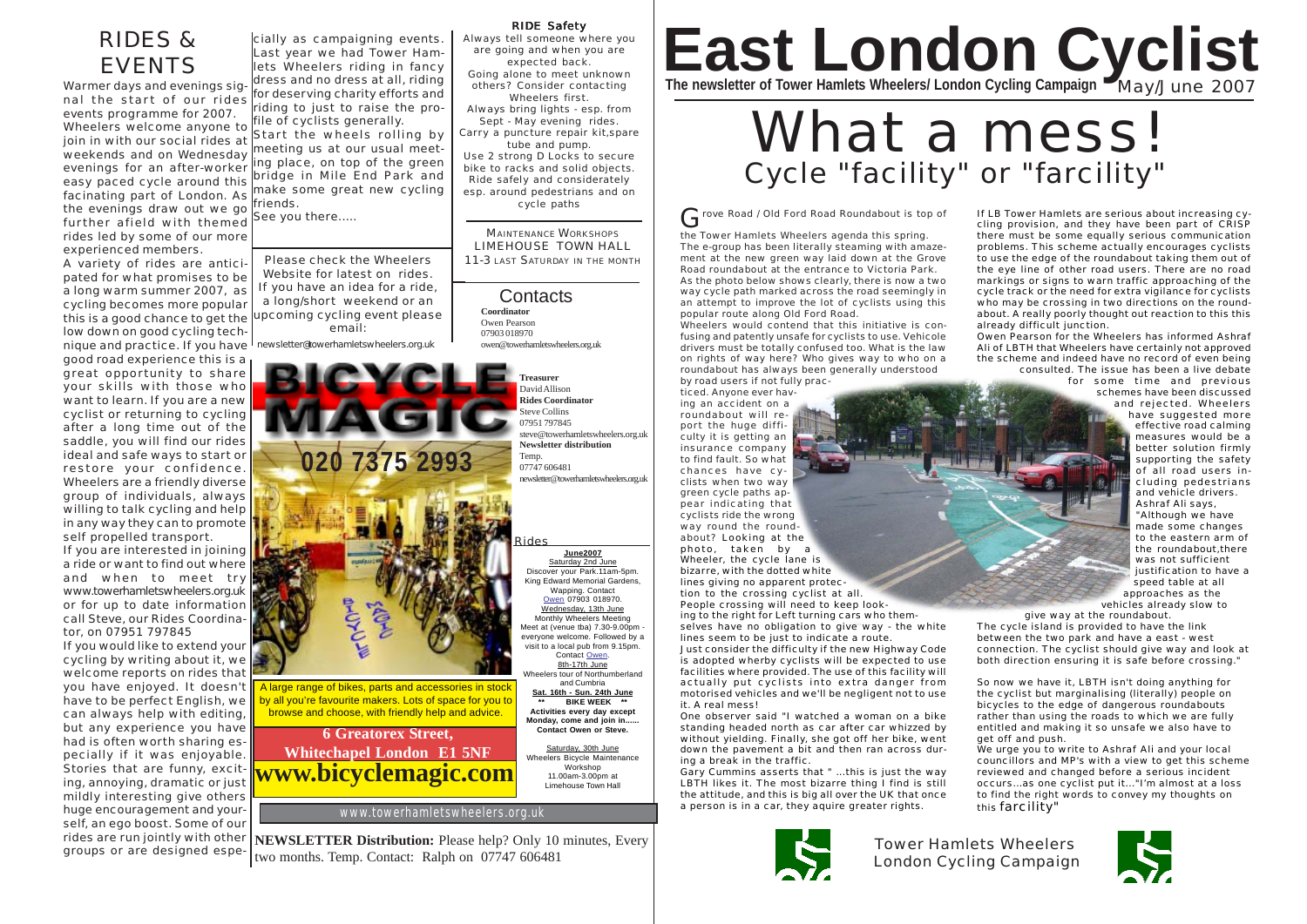## RIDES & **EVENTS**

Warmer days and evenings signal the start of our rides events programme for 2007. Wheelers welcome anyone to join in with our social rides at weekends and on Wednesday evenings for an after-worker easy paced cycle around this facinating part of London. As the evenings draw out we go further afield with themed rides led by some of our more experienced members.

A variety of rides are anticipated for what promises to be a long warm summer 2007, as cycling becomes more popular this is a good chance to get the low down on good cycling technique and practice. If you have good road experience this is a great opportunity to share your skills with those who want to learn. If you are a new cyclist or returning to cycling after a long time out of the saddle, you will find our rides ideal and safe ways to start or restore your confidence. Wheelers are a friendly diverse group of individuals, always willing to talk cycling and help in any way they can to promote self propelled transport.

If you are interested in joining a ride or want to find out where and when to meet try www.towerhamletswheelers.org.uk or for up to date information call Steve, our Rides Coordinator, on 07951 797845

If you would like to extend your cycling by writing about it, we welcome reports on rides that you have enjoyed. It doesn't have to be perfect English, we can always help with editing, but any experience you have had is often worth sharing especially if it was enjoyable. Stories that are funny, exciting, annoying, dramatic or just mildly interesting give others huge encouragement and yourself, an ego boost. Some of our rides are run jointly with other groups or are designed espe-

cially as campaigning events. Last year we had Tower Hamlets Wheelers riding in fancy dress and no dress at all, riding for deserving charity efforts and riding to just to raise the profile of cyclists generally.

Start the wheels rolling by meeting us at our usual meeting place, on top of the green bridge in Mile End Park and make some great new cycling friends.

See you there.....

Please check the Wheelers Website for latest on rides. If you have an idea for a ride, a long/short weekend or an upcoming cycling event please email: newsletter@towerhamletswheelers.org.uk



www.towerhamletswheelers.org.uk

**NEWSLETTER Distribution:** Please help? Only 10 minutes, Every two months. Temp. Contact: Ralph on 07747 606481

#### RIDE Safety

Always tell someone where you are going and when you are expected back. Going alone to meet unknown others? Consider contacting

Wheelers first. Always bring lights - esp. from

Sept - May evening rides. Carry a puncture repair kit spare tube and pump.

Use 2 strong D Locks to secure bike to racks and solid objects. Ride safely and considerately esp. around pedestrians and on cycle paths

MAINTENANCE WORKSHOPS LIMEHOUSE TOWN HALL 11-3 LAST SATURDAY IN THE MONTH

#### **Contacts Coordinator** Owen Pearson 07903 018970 owen@towerhamletswheelers.org.uk

**Treasurer** David Allison **Rides Coordinator** Steve Collins 07951 797845 steve@towerhamletswheelers.org.uk **Newsletter distribution** Temp. 07747 606481 newsletter@towerhamletswheelers.org.uk

> **June2007** Saturday 2nd June Discover your Park.11am-5pm. ides

King Edward Memorial Gardens, Wapping. Contact Owen 07903 018970. Wednesday, 13th June Monthly Wheelers Meeting Meet at (venue tba) 7.30-9.00pm everyone welcome. Followed by a visit to a local pub from 9.15pm. Contact Owen. 8th-17th June Wheelers tour of Northumberland and Cumbria **Sat. 16th - Sun. 24th June \*\* BIKE WEEK \*\* Activities every day except Monday, come and join in...... Contact Owen or Steve.**

Saturday, 30th June Wheelers Bicycle Maintenance Workshop 11.00am-3.00pm at Limehouse Town Hall

# East London Cyclist

# What a mess! Cycle "facility" or "farcility"

Grove Road / Old Ford Road Roundabout is top of

the Tower Hamlets Wheelers agenda this spring. The e-group has been literally steaming with amazement at the new green way laid down at the Grove Road roundabout at the entrance to Victoria Park. As the photo below shows clearly, there is now a two way cycle path marked across the road seemingly in an attempt to improve the lot of cyclists using this popular route along Old Ford Road.

Wheelers would contend that this initiative is confusing and patently unsafe for cyclists to use. Vehicole drivers must be totally confused too. What is the law on rights of way here? Who gives way to who on a roundabout has always been generally understood by road users if not fully prac-

ticed. Anyone ever having an accident on a roundabout will report the huge difficulty it is getting an insurance company to find fault. So what chances have cyclists when two way green cycle paths appear indicating that cyclists ride the wrong way round the roundabout? Looking at the photo, taken by a Wheeler, the cycle lane is bizarre, with the dotted white lines giving no apparent protection to the crossing cyclist at all. People crossing will need to keep looking to the right for Left turning cars who them-

selves have no obligation to give way - the white lines seem to be just to indicate a route. Just consider the difficulty if the new Highway Code

is adopted wherby cyclists will be expected to use facilities where provided. The use of this facility will actually put cyclists into extra danger from motorised vehicles and we'll be negligent not to use it. A real mess!

One observer said "I watched a woman on a bike standing headed north as car after car whizzed by without yielding. Finally, she got off her bike, went down the pavement a bit and then ran across during a break in the traffic.

Gary Cummins asserts that " ...this is just the way LBTH likes it. The most bizarre thing I find is still the attitude, and this is big all over the UK that once a person is in a car, they aquire greater rights.



If LB Tower Hamlets are serious about increasing cycling provision, and they have been part of CRISP there must be some equally serious communication problems. This scheme actually encourages cyclists to use the edge of the roundabout taking them out of the eye line of other road users. There are no road markings or signs to warn traffic approaching of the cycle track or the need for extra vigilance for cyclists who may be crossing in two directions on the roundabout. A really poorly thought out reaction to this this already difficult junction.

Owen Pearson for the Wheelers has informed Ashraf Ali of LBTH that Wheelers have certainly not approved the scheme and indeed have no record of even being consulted. The issue has been a live debate

> for some time and previous schemes have been discussed and rejected. Wheelers have suggested more effective road calming measures would be a

better solution firmly supporting the safety of all road users including pedestrians and vehicle drivers. Ashraf Ali says, "Although we have made some changes to the eastern arm of the roundabout,there was not sufficient justification to have a speed table at all approaches as the vehicles already slow to

give way at the roundabout. The cycle island is provided to have the link between the two park and have a east - west connection. The cyclist should give way and look at both direction ensuring it is safe before crossing."

So now we have it, LBTH isn't doing anything for the cyclist but marginalising (literally) people on bicycles to the edge of dangerous roundabouts rather than using the roads to which we are fully entitled and making it so unsafe we also have to get off and push.

We urge you to write to Ashraf Ali and your local councillors and MP's with a view to get this scheme reviewed and changed before a serious incident occurs...as one cyclist put it..."I'm almost at a loss to find the right words to convey my thoughts on this farcility"

Tower Hamlets Wheelers London Cycling Campaign